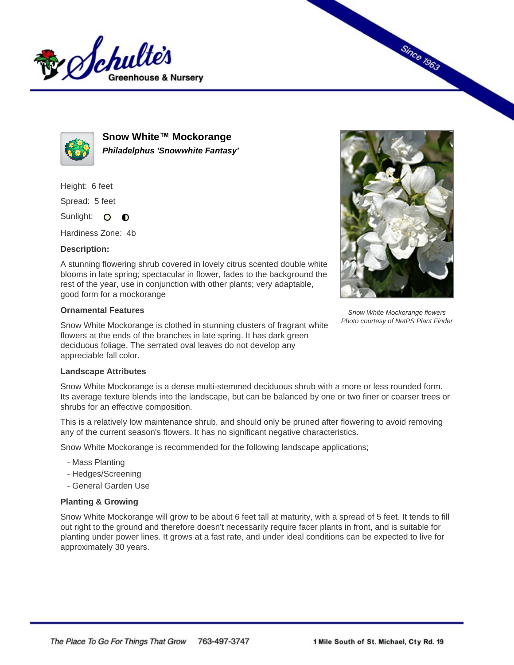



**Snow White™ Mockorange Philadelphus 'Snowwhite Fantasy'**

Height: 6 feet

Spread: 5 feet

Sunlight: O **O** 

Hardiness Zone: 4b

## **Description:**

A stunning flowering shrub covered in lovely citrus scented double white blooms in late spring; spectacular in flower, fades to the background the rest of the year, use in conjunction with other plants; very adaptable, good form for a mockorange

## **Ornamental Features**

Snow White Mockorange is clothed in stunning clusters of fragrant white flowers at the ends of the branches in late spring. It has dark green deciduous foliage. The serrated oval leaves do not develop any appreciable fall color.



Since 1963

Snow White Mockorange flowers Photo courtesy of NetPS Plant Finder

## **Landscape Attributes**

Snow White Mockorange is a dense multi-stemmed deciduous shrub with a more or less rounded form. Its average texture blends into the landscape, but can be balanced by one or two finer or coarser trees or shrubs for an effective composition.

This is a relatively low maintenance shrub, and should only be pruned after flowering to avoid removing any of the current season's flowers. It has no significant negative characteristics.

Snow White Mockorange is recommended for the following landscape applications;

- Mass Planting
- Hedges/Screening
- General Garden Use

## **Planting & Growing**

Snow White Mockorange will grow to be about 6 feet tall at maturity, with a spread of 5 feet. It tends to fill out right to the ground and therefore doesn't necessarily require facer plants in front, and is suitable for planting under power lines. It grows at a fast rate, and under ideal conditions can be expected to live for approximately 30 years.